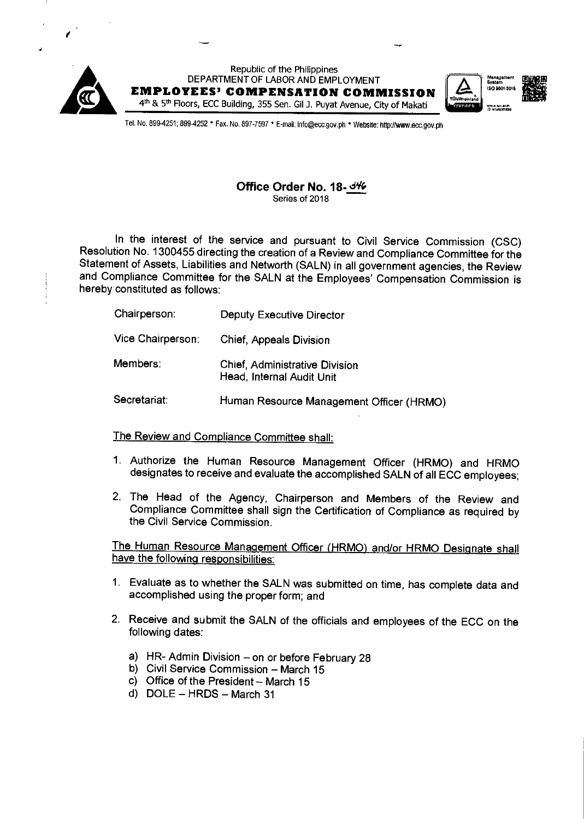

Republic of the Philippines DEPARTMENT OF LABOR AND EMPLOYMENT **EMPLOYEES' COMPENSATION COMMISSION** 4th & 5th Floors, ECC Building, 355 Sen. Gil J. Puyat Avenue, City of Makati





Tel. No. 899-4251; 899-4252 · Fax. No. 897-7597 · E-mail: info@ecc.gov.ph · Website: http://www.ecc.gov.ph

## Office Order No. 18-346 Series of 2018

In the interest of the service and pursuant to Civil Service Commission (CSC) Resolution No. 1300455 directing the creation of a Review and Compliance Committee for the Statement of Assets, Liabilities and Networth (SALN) in all government agencies, the Review and Compliance Committee for the SALN at the Employees' Compensation Commission is hereby constituted as follows:

| Chairperson:      | Deputy Executive Director                                          |
|-------------------|--------------------------------------------------------------------|
| Vice Chairperson: | <b>Chief, Appeals Division</b>                                     |
| Members:          | <b>Chief, Administrative Division</b><br>Head, Internal Audit Unit |
| Secretariat:      | Human Resource Management Officer (HRMO)                           |

## The Review and Compliance Committee shall:

- 1. Authorize the Human Resource Management Officer (HRMO) and HRMO designates to receive and evaluate the accomplished SALN of all ECC employees;
- 2. The Head of the Agency, Chairperson and Members of the Review and Compliance Committee shall sign the Certification of Compliance as required by the Civil Service Commission.

The Human Resource Management Officer (HRMO) and/or HRMO Designate shall have the following responsibilities:

- 1. Evaluate as to whether the SALN was submitted on time, has complete data and accomplished using the proper form; and
- 2. Receive and submit the SALN of the officials and employees of the ECC on the following dates:
	- a) HR- Admin Division on or before February 28
	- b) Civil Service Commission March 15
	- c) Office of the President March 15
	- d) DOLE HRDS March 31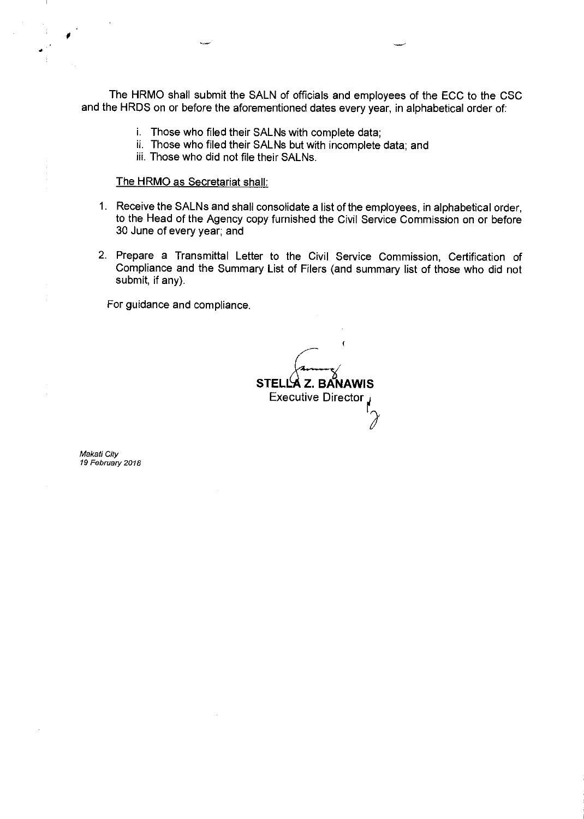The HRMO shall submit the SALN of officials and employees of the ECC to the CSC and the HRDS on or before the aforementioned dates every year, in alphabetical order of:

- i. Those who filed their SALNs with complete data;
- ii. Those who filed their SALNs but with incomplete data; and
- iii. Those who did not file their SALNs.

## The HRMO as Secretariat shall:

- 1. Receive the SALNs and shall consolidate a list of the employees, in alphabetical order, to the Head of the Agency copy furnished the Civil Service Commission on or before 30 June of every year; and
- 2. Prepare a Transmittal Letter to the Civil Service Commission, Certification of Compliance and the Summary List of Filers (and summary list of those who did not submit, if any).

For guidance and compliance.

STELLA Z. BANAWIS **Executive Director** 

Makati City 19 February 2018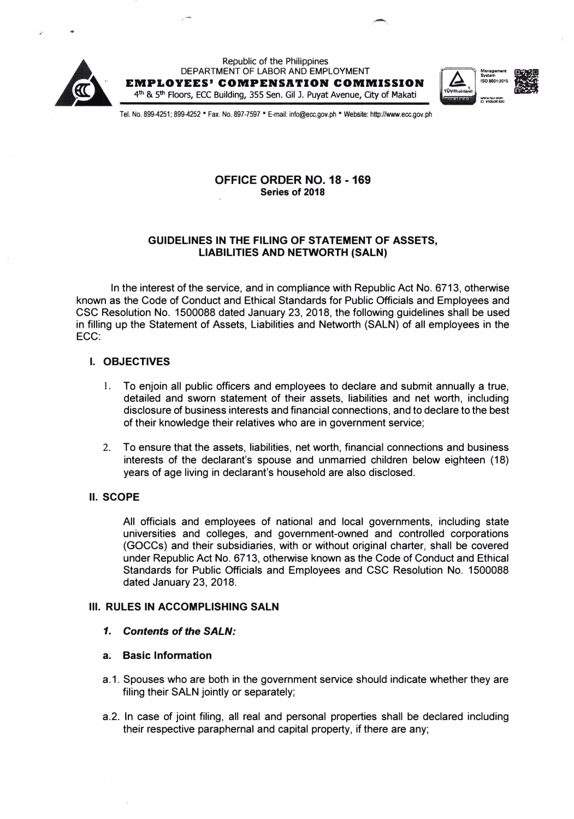

Republic of the Philippines DEPARTMENT OF LABOR AND EMPLOYMENT **EMPLOYEES' COMPENSATION COMMISSION**  4**th** & 5**th** Floors, ECC Building, 355 Sen. Gil J. Puyat Avenue, City of Makati





Tel. No. 899-4251; 899-4252 •Fax.No. 897-7597 • E-mail: info@ecc.gov.ph • Website: http://wwN.ecc.gov.ph

# **OFFICE ORDER NO. 18 -169 Series of 2018**

### **GUIDELINES IN THE FILING OF STATEMENT OF ASSETS, LIABILITIES AND NETWORTH (SALN)**

In the interest of the service, and in compliance with Republic Act No. 6713, otherwise known as the Code of Conduct and Ethical Standards for Public Officials and Employees and CSC Resolution No. 1500088 dated January 23, 2018, the following guidelines shall be used in filling up the Statement of Assets, Liabilities and Networth (SALN) of all employees in the ECC:

#### **I. OBJECTIVES**

- 1. To enjoin all public officers and employees to declare and submit annually a true, detailed and sworn statement of their assets, liabilities and net worth, inc!uding disclosure of business interests and financial connections, and to declare to the best of their knowledge their relatives who are in government service;
- 2. To ensure that the assets, liabilities, net worth, financial connections and business interests of the declarant's spouse and unmarried children below eighteen (18) years of age living in declarant's household are also disclosed.

### **II. SCOPE**

All officials and employees of national and local governments, including state universities and colleges, and government-owned and controlled corporations (GOCCs) and their subsidiaries, with or without original charter, shall be covered under Republic Act No. 6713, otherwise known as the Code of Conduct and Ethical Standards for Public Officials and Employees and CSC Resolution No. 1500088 dated January 23, 2018.

### **Ill. RULES IN ACCOMPLISHING SALN**

*1. Contents of the SALN:*

### **a. Basic Information**

- a.1. Spouses who are both in the government service should indicate whether they are filing their SALN jointly or separately;
- a.2. In case of joint filing, all real and personal properties shall be declared including their respective paraphernal and capital property, if there are any;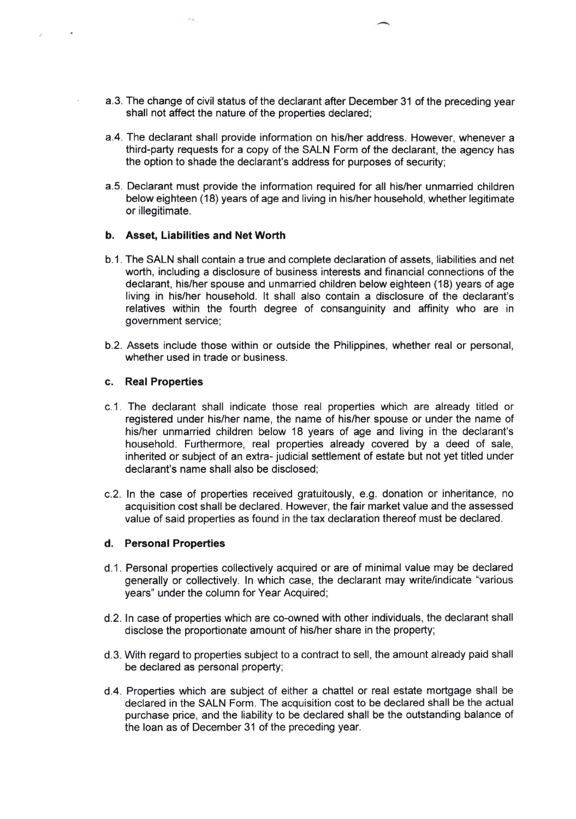- a.3. The change of civil status of the declarant after December 31 of the preceding year shall not affect the nature of the properties declared;
- a.4. The declarant shall provide information on his/her address. However, whenever a third-party requests for a copy of the SALN Form of the declarant, the agency has the option to shade the declarant's address for purposes of security;
- a.5. Declarant must provide the information required for all his/her unmarried children below eighteen (18) years of age and living in his/her household, whether legitimate or illegitimate.

#### b. Asset, Liabilities and Net Worth

- b.1. The SALN shall contain a true and complete declaration of assets, liabilities and net worth, including a disclosure of business interests and financial connections of the declarant, his/her spouse and unmarried children below eighteen (18) years of age living in his/her household. lt shall also contain a disclosure of the declarant's relatives within the fourth degree of consanguinity and affinity who are in government service;
- b.2. Assets include those within or outside the Philippines, whether real or personal, whether used in trade or business.

#### c. Real Properties

- c.1 . The declarant shall indicate those real properties which are already titled or registered under his/her name, the name of his/her spouse or under the name of his/her unmarried children below 18 years of age and living in the declarant's household. Furthermore, real properties already covered by a deed of sale, inherited or subject of an extra- judicial settlement of estate but not yet titled under declarant's name shall also be disclosed;
- c.2. ln the case of properties received gratuitously, e.g. donation or inheritance, no acquisition cost shall be declared. However, the fair market value and the assessed value of said properties as found in the tax declaration thereof must be declared.

#### d. Personal Properties

- d.1. Personal properties collectively acquired or are of minimal value may be declared generally or collectively. ln which case, the declarant may write/indicate "various years" under the column for Year Acquired;
- d.2. ln case of properties which are co-owned with other individuals, the declarant shall disclose the proportionate amount of his/her share in the property;
- d.3. With regard to properties subject to a contract to sell, the amount already paid shall be declared as personal property;
- d.4. Properties which are subject of either a chattel or real estate mortgage shall be declared in the SALN Form. The acquisition cost to be declared shall be the actual purchase price, and the liability to be declared shall be the outstanding balance of the loan as of December 31 of the preceding year.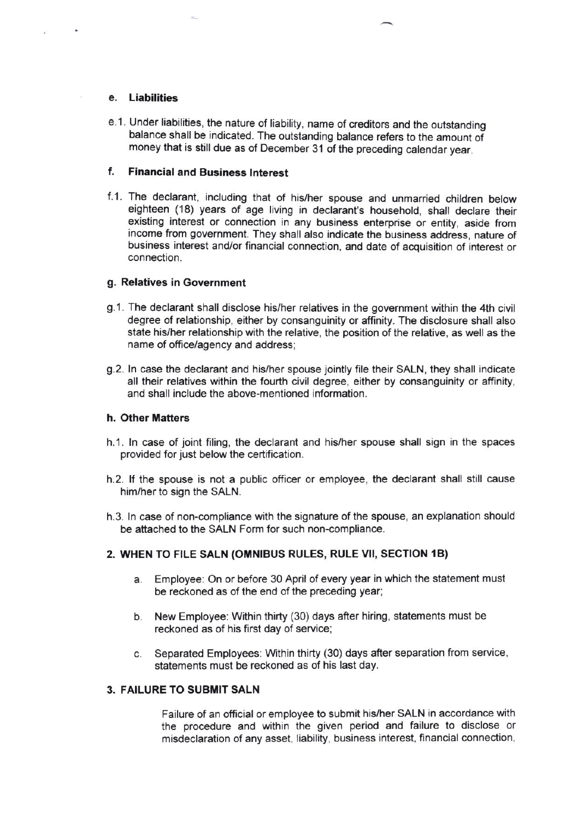#### e, Liabilities

e.1. Under liabilities, the nature of liability, name of creditors and the outstanding balance shall be indicated. The outstanding balance refers to the amount of money that is still due as of December 31 of the preceding calendar year.

### f. Financialand Businesa lnterest

f.1. The declarant, including that of his/her spouse and unmarried children below eighteen (18) years of age living in declarant's household, shall declare their existing interest or connection in any business enterprise or entity, aside from income from government. They shall also indicate the business address, nature of business interest and/or financial connection, and date of acquisition of interest or connection.

## g. Relatives in Government

- 9.1. The declarant shall disclose his/her relatives in the government within the 4th civil degree of relationship, either by consanguinity or affinity. The disclosure shall also state his/her relationship with the relative, the position of the relative, as well as the name of office/agency and address:
- 9.2. ln case the declarant and his/her spouse jointly file their SALN, they shall indicate all their relatives within the fourth civil degree, either by consanguinity or affinity, and shall include the above-mentioned information.

#### h. Other Matters

- h.1. ln case of joint filing, the declarant and his/her spouse shall sign in the spaces provided for just below the certification.
- h.2. lf the spouse is not a public officer or employee, the declarant shall still cause him/her to sign the SALN.
- h.3. ln case of non-compliance with the signature of the spouse, an explanation should be attached to the SALN Form for such non-compliance.

# 2. WHEN TO FILE SALN (OMNIBUS RULES, RULE VII, SECTION 1B)

- Employee: On or before 30 April of every year in which the statement must be reckoned as of the end of the preceding year: a
- b. New Employee: Within thirty (30) days after hiring, statements must be reckoned as of his first day of service;
- Separated Employees: Within thirty (30) days after separation from service, statements must be reckoned as of his last day. c

# 3. FAILURE TO SUBMIT SALN

Failure of an official or employee to submit his/her SALN in accordance with the procedure and within the given period and failure to disclose or misdeclaration of any asset, liability, business interest, financial connection,